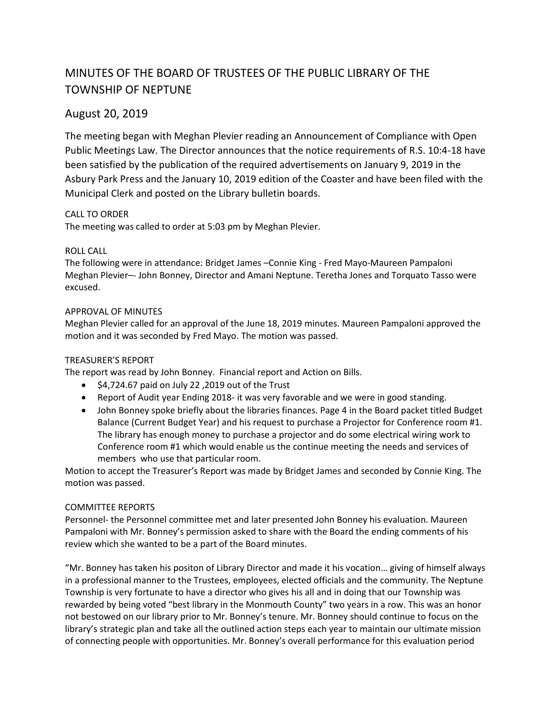# MINUTES OF THE BOARD OF TRUSTEES OF THE PUBLIC LIBRARY OF THE TOWNSHIP OF NEPTUNE

# August 20, 2019

The meeting began with Meghan Plevier reading an Announcement of Compliance with Open Public Meetings Law. The Director announces that the notice requirements of R.S. 10:4-18 have been satisfied by the publication of the required advertisements on January 9, 2019 in the Asbury Park Press and the January 10, 2019 edition of the Coaster and have been filed with the Municipal Clerk and posted on the Library bulletin boards.

# CALL TO ORDER

The meeting was called to order at 5:03 pm by Meghan Plevier.

#### ROLL CALL

The following were in attendance: Bridget James –Connie King - Fred Mayo-Maureen Pampaloni Meghan Plevier–- John Bonney, Director and Amani Neptune. Teretha Jones and Torquato Tasso were excused.

#### APPROVAL OF MINUTES

Meghan Plevier called for an approval of the June 18, 2019 minutes. Maureen Pampaloni approved the motion and it was seconded by Fred Mayo. The motion was passed.

### TREASURER'S REPORT

The report was read by John Bonney. Financial report and Action on Bills.

- $\bullet$  \$4,724.67 paid on July 22,2019 out of the Trust
- Report of Audit year Ending 2018- it was very favorable and we were in good standing.
- John Bonney spoke briefly about the libraries finances. Page 4 in the Board packet titled Budget Balance (Current Budget Year) and his request to purchase a Projector for Conference room #1. The library has enough money to purchase a projector and do some electrical wiring work to Conference room #1 which would enable us the continue meeting the needs and services of members who use that particular room.

Motion to accept the Treasurer's Report was made by Bridget James and seconded by Connie King. The motion was passed.

#### COMMITTEE REPORTS

Personnel- the Personnel committee met and later presented John Bonney his evaluation. Maureen Pampaloni with Mr. Bonney's permission asked to share with the Board the ending comments of his review which she wanted to be a part of the Board minutes.

"Mr. Bonney has taken his positon of Library Director and made it his vocation… giving of himself always in a professional manner to the Trustees, employees, elected officials and the community. The Neptune Township is very fortunate to have a director who gives his all and in doing that our Township was rewarded by being voted "best library in the Monmouth County" two years in a row. This was an honor not bestowed on our library prior to Mr. Bonney's tenure. Mr. Bonney should continue to focus on the library's strategic plan and take all the outlined action steps each year to maintain our ultimate mission of connecting people with opportunities. Mr. Bonney's overall performance for this evaluation period